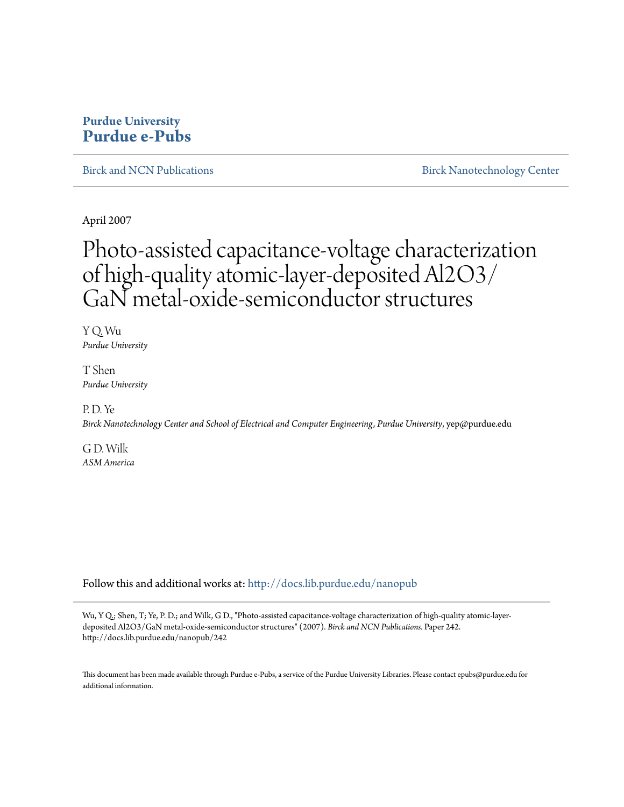## **Purdue University [Purdue e-Pubs](http://docs.lib.purdue.edu?utm_source=docs.lib.purdue.edu%2Fnanopub%2F242&utm_medium=PDF&utm_campaign=PDFCoverPages)**

[Birck and NCN Publications](http://docs.lib.purdue.edu/nanopub?utm_source=docs.lib.purdue.edu%2Fnanopub%2F242&utm_medium=PDF&utm_campaign=PDFCoverPages) **[Birck Nanotechnology Center](http://docs.lib.purdue.edu/nano?utm_source=docs.lib.purdue.edu%2Fnanopub%2F242&utm_medium=PDF&utm_campaign=PDFCoverPages)** 

April 2007

## Photo-assisted capacitance-voltage characterization of high-quality atomic-layer-deposited Al2O3/ GaN metal-oxide-semiconductor structures

Y Q. Wu *Purdue University*

T Shen *Purdue University*

P. D. Ye

*Birck Nanotechnology Center and School of Electrical and Computer Engineering, Purdue University*, yep@purdue.edu

G D. Wilk *ASM America*

Follow this and additional works at: [http://docs.lib.purdue.edu/nanopub](http://docs.lib.purdue.edu/nanopub?utm_source=docs.lib.purdue.edu%2Fnanopub%2F242&utm_medium=PDF&utm_campaign=PDFCoverPages)

Wu, Y Q.; Shen, T; Ye, P. D.; and Wilk, G D., "Photo-assisted capacitance-voltage characterization of high-quality atomic-layerdeposited Al2O3/GaN metal-oxide-semiconductor structures" (2007). *Birck and NCN Publications.* Paper 242. http://docs.lib.purdue.edu/nanopub/242

This document has been made available through Purdue e-Pubs, a service of the Purdue University Libraries. Please contact epubs@purdue.edu for additional information.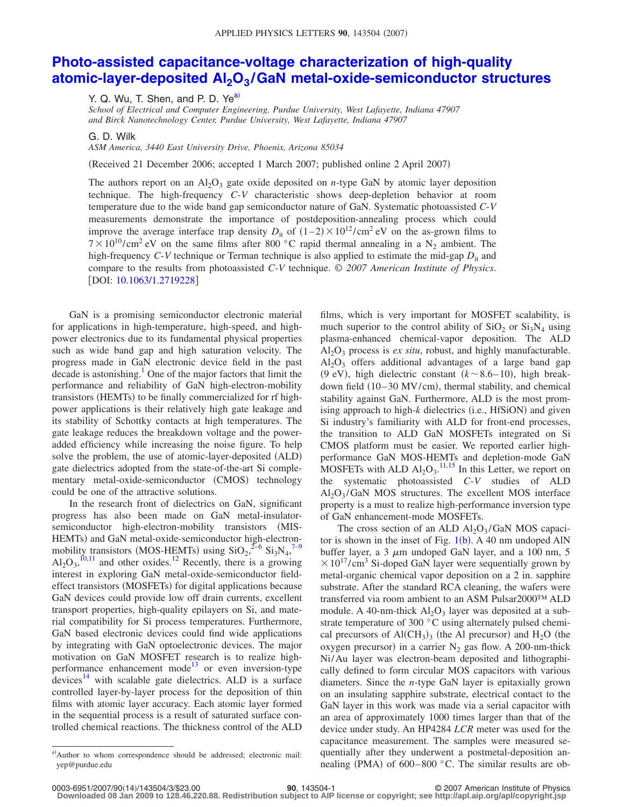## **[Photo-assisted capacitance-voltage characterization of high-quality](http://dx.doi.org/10.1063/1.2719228) atomic-layer-deposited Al2O3 [/GaN metal-oxide-semiconductor structures](http://dx.doi.org/10.1063/1.2719228)**

Y. Q. Wu, T. Shen, and P. D.  $Ye^{a}$ 

*School of Electrical and Computer Engineering, Purdue University, West Lafayette, Indiana 47907 and Birck Nanotechnology Center, Purdue University, West Lafayette, Indiana 47907*

G. D. Wilk

*ASM America, 3440 East University Drive, Phoenix, Arizona 85034*

Received 21 December 2006; accepted 1 March 2007; published online 2 April 2007-

The authors report on an  $A_2O_3$  gate oxide deposited on *n*-type GaN by atomic layer deposition technique. The high-frequency *C*-*V* characteristic shows deep-depletion behavior at room temperature due to the wide band gap semiconductor nature of GaN. Systematic photoassisted *C*-*V* measurements demonstrate the importance of postdeposition-annealing process which could improve the average interface trap density  $D_{it}$  of  $(1-2) \times 10^{12} / \text{cm}^2 \text{ eV}$  on the as-grown films to  $7 \times 10^{10}$ /cm<sup>2</sup> eV on the same films after 800 °C rapid thermal annealing in a N<sub>2</sub> ambient. The high-frequency  $C-V$  technique or Terman technique is also applied to estimate the mid-gap  $D_{it}$  and compare to the results from photoassisted *C*-*V* technique. © *2007 American Institute of Physics*. [DOI: [10.1063/1.2719228](http://dx.doi.org/10.1063/1.2719228)]

GaN is a promising semiconductor electronic material for applications in high-temperature, high-speed, and highpower electronics due to its fundamental physical properties such as wide band gap and high saturation velocity. The progress made in GaN electronic device field in the past decade is astonishing.<sup>1</sup> One of the major factors that limit the performance and reliability of GaN high-electron-mobility transistors (HEMTs) to be finally commercialized for rf highpower applications is their relatively high gate leakage and its stability of Schottky contacts at high temperatures. The gate leakage reduces the breakdown voltage and the poweradded efficiency while increasing the noise figure. To help solve the problem, the use of atomic-layer-deposited (ALD) gate dielectrics adopted from the state-of-the-art Si complementary metal-oxide-semiconductor (CMOS) technology could be one of the attractive solutions.

In the research front of dielectrics on GaN, significant progress has also been made on GaN metal-insulatorsemiconductor high-electron-mobility transistors (MIS-HEMTs) and GaN metal-oxide-semiconductor high-electronmobility transistors (MOS-HEMTs) using  $\text{SiO}_2$ ,  $\frac{2-6}{5}$   $\text{Si}_3\text{N}_4$ ,  $\frac{7-9}{5}$  $Al_2O_3$ ,  $10,11$  and other oxides.<sup>12</sup> Recently, there is a growing interest in exploring GaN metal-oxide-semiconductor fieldeffect transistors (MOSFETs) for digital applications because GaN devices could provide low off drain currents, excellent transport properties, high-quality epilayers on Si, and material compatibility for Si process temperatures. Furthermore, GaN based electronic devices could find wide applications by integrating with GaN optoelectronic devices. The major motivation on GaN MOSFET research is to realize highperformance enhancement mode<sup>13</sup> or even inversion-type devices<sup>14</sup> with scalable gate dielectrics. ALD is a surface controlled layer-by-layer process for the deposition of thin films with atomic layer accuracy. Each atomic layer formed in the sequential process is a result of saturated surface controlled chemical reactions. The thickness control of the ALD films, which is very important for MOSFET scalability, is much superior to the control ability of  $SiO<sub>2</sub>$  or  $Si<sub>3</sub>N<sub>4</sub>$  using plasma-enhanced chemical-vapor deposition. The ALD  $Al_2O_3$  process is *ex situ*, robust, and highly manufacturable.  $Al_2O_3$  offers additional advantages of a large band gap (9 eV), high dielectric constant  $(k \sim 8.6-10)$ , high breakdown field (10-30 MV/cm), thermal stability, and chemical stability against GaN. Furthermore, ALD is the most promising approach to high-k dielectrics (i.e., HfSiON) and given Si industry's familiarity with ALD for front-end processes, the transition to ALD GaN MOSFETs integrated on Si CMOS platform must be easier. We reported earlier highperformance GaN MOS-HEMTs and depletion-mode GaN MOSFETs with ALD  $Al_2O_3$ .<sup>11,15</sup> In this Letter, we report on the systematic photoassisted *C*-*V* studies of ALD  $Al_2O_3/GaN$  MOS structures. The excellent MOS interface property is a must to realize high-performance inversion type of GaN enhancement-mode MOSFETs.

The cross section of an ALD  $\text{Al}_2\text{O}_3/\text{Ga}$ N MOS capacitor is shown in the inset of Fig.  $1(b)$ . A 40 nm undoped AlN buffer layer, a 3  $\mu$ m undoped GaN layer, and a 100 nm, 5  $\times 10^{17}$ /cm<sup>3</sup> Si-doped GaN layer were sequentially grown by metal-organic chemical vapor deposition on a 2 in. sapphire substrate. After the standard RCA cleaning, the wafers were transferred via room ambient to an ASM Pulsar2000™ ALD module. A 40-nm-thick  $Al_2O_3$  layer was deposited at a substrate temperature of 300 °C using alternately pulsed chemical precursors of  $\text{Al}(\text{CH}_3)_3$  (the Al precursor) and  $\text{H}_2\text{O}$  (the oxygen precursor) in a carrier  $N_2$  gas flow. A 200-nm-thick Ni/Au layer was electron-beam deposited and lithographically defined to form circular MOS capacitors with various diameters. Since the *n*-type GaN layer is epitaxially grown on an insulating sapphire substrate, electrical contact to the GaN layer in this work was made via a serial capacitor with an area of approximately 1000 times larger than that of the device under study. An HP4284 *LCR* meter was used for the capacitance measurement. The samples were measured sequentially after they underwent a postmetal-deposition annealing (PMA) of  $600-800$  °C. The similar results are ob-

a)Author to whom correspondence should be addressed; electronic mail: yep@purdue.edu

<sup>14</sup>/143504/3/\$23.00 © 2007 American Institute of Physics **90**, 143504-1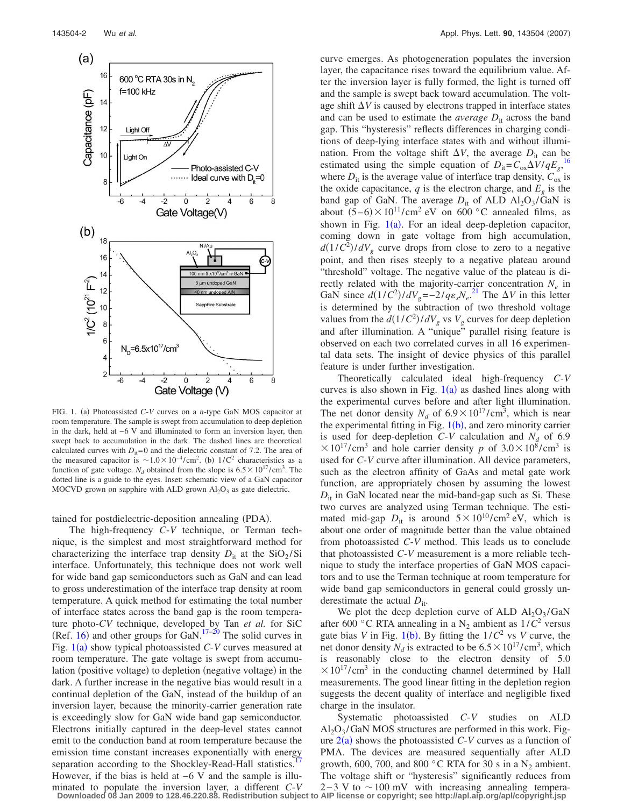

FIG. 1. (a) Photoassisted C-V curves on a *n*-type GaN MOS capacitor at room temperature. The sample is swept from accumulation to deep depletion in the dark, held at −6 V and illuminated to form an inversion layer, then swept back to accumulation in the dark. The dashed lines are theoretical calculated curves with  $D<sub>it</sub>=0$  and the dielectric constant of 7.2. The area of the measured capacitor is  $\sim$ 1.0×10<sup>-4</sup>/cm<sup>2</sup>. (b) 1/C<sup>2</sup> characteristics as a function of gate voltage.  $N_d$  obtained from the slope is  $6.5 \times 10^{17} / \text{cm}^3$ . The dotted line is a guide to the eyes. Inset: schematic view of a GaN capacitor MOCVD grown on sapphire with ALD grown  $Al_2O_3$  as gate dielectric.

tained for postdielectric-deposition annealing (PDA).

The high-frequency *C*-*V* technique, or Terman technique, is the simplest and most straightforward method for characterizing the interface trap density  $D_{it}$  at the SiO<sub>2</sub>/Si interface. Unfortunately, this technique does not work well for wide band gap semiconductors such as GaN and can lead to gross underestimation of the interface trap density at room temperature. A quick method for estimating the total number of interface states across the band gap is the room temperature photo-*CV* technique, developed by Tan *et al.* for SiC (Ref. 16) and other groups for GaN.<sup>17–20</sup> The solid curves in Fig. 1(a) show typical photoassisted *C*-*V* curves measured at room temperature. The gate voltage is swept from accumulation (positive voltage) to depletion (negative voltage) in the dark. A further increase in the negative bias would result in a continual depletion of the GaN, instead of the buildup of an inversion layer, because the minority-carrier generation rate is exceedingly slow for GaN wide band gap semiconductor. Electrons initially captured in the deep-level states cannot emit to the conduction band at room temperature because the emission time constant increases exponentially with energy separation according to the Shockley-Read-Hall statistics. However, if the bias is held at −6 V and the sample is illuminated to populate the inversion layer, a different *C*-*V* curve emerges. As photogeneration populates the inversion layer, the capacitance rises toward the equilibrium value. After the inversion layer is fully formed, the light is turned off and the sample is swept back toward accumulation. The voltage shift  $\Delta V$  is caused by electrons trapped in interface states and can be used to estimate the *average*  $D_{it}$  across the band gap. This "hysteresis" reflects differences in charging conditions of deep-lying interface states with and without illumination. From the voltage shift  $\Delta V$ , the average  $D_{it}$  can be estimated using the simple equation of  $D_{it} = C_0 \sqrt{\frac{\lambda V}{qE_g}}$ ,<sup>16</sup> where  $D_{it}$  is the average value of interface trap density,  $C_{ox}$  is the oxide capacitance,  $q$  is the electron charge, and  $E<sub>g</sub>$  is the band gap of GaN. The average  $D_{it}$  of ALD Al<sub>2</sub>O<sub>3</sub>/GaN is about  $(5-6) \times 10^{11}$ /cm<sup>2</sup> eV on 600 °C annealed films, as shown in Fig.  $1(a)$ . For an ideal deep-depletion capacitor, coming down in gate voltage from high accumulation,  $d(1/C^2)/dV_g$  curve drops from close to zero to a negative point, and then rises steeply to a negative plateau around "threshold" voltage. The negative value of the plateau is directly related with the majority-carrier concentration  $N_e$  in GaN since  $d(1/C^2)/dV_g = -2/q\epsilon_sN_e^{21}$  The  $\Delta V$  in this letter is determined by the subtraction of two threshold voltage values from the  $d(1/C^2)/dV_g$  vs  $V_g$  curves for deep depletion and after illumination. A "unique" parallel rising feature is observed on each two correlated curves in all 16 experimental data sets. The insight of device physics of this parallel feature is under further investigation.

Theoretically calculated ideal high-frequency *C*-*V* curves is also shown in Fig.  $1(a)$  as dashed lines along with the experimental curves before and after light illumination. The net donor density  $N_d$  of  $6.9 \times 10^{17} / \text{cm}^3$ , which is near the experimental fitting in Fig. 1(b), and zero minority carrier is used for deep-depletion  $C-V$  calculation and  $N_d$  of 6.9  $\times 10^{17}$ /cm<sup>3</sup> and hole carrier density *p* of  $3.0 \times 10^{8}$ /cm<sup>3</sup> is used for *C*-*V* curve after illumination. All device parameters, such as the electron affinity of GaAs and metal gate work function, are appropriately chosen by assuming the lowest  $D_{it}$  in GaN located near the mid-band-gap such as Si. These two curves are analyzed using Terman technique. The estimated mid-gap  $D_{it}$  is around  $5 \times 10^{10} / \text{cm}^2 \text{ eV}$ , which is about one order of magnitude better than the value obtained from photoassisted *C*-*V* method. This leads us to conclude that photoassisted *C*-*V* measurement is a more reliable technique to study the interface properties of GaN MOS capacitors and to use the Terman technique at room temperature for wide band gap semiconductors in general could grossly underestimate the actual  $D_{it}$ .

We plot the deep depletion curve of ALD  $Al_2O_3/GaN$ after 600 °C RTA annealing in a  $N_2$  ambient as  $1/C^2$  versus gate bias *V* in Fig. 1(b). By fitting the  $1/C^2$  vs *V* curve, the net donor density  $N_d$  is extracted to be  $6.5 \times 10^{17} / \text{cm}^3$ , which is reasonably close to the electron density of 5.0  $\times 10^{17}$ /cm<sup>3</sup> in the conducting channel determined by Hall measurements. The good linear fitting in the depletion region suggests the decent quality of interface and negligible fixed charge in the insulator.

Systematic photoassisted *C*-*V* studies on ALD  $Al_2O_3/GaN$  MOS structures are performed in this work. Figure  $2(a)$  shows the photoassisted  $C-V$  curves as a function of PMA. The devices are measured sequentially after ALD growth, 600, 700, and 800 °C RTA for 30 s in a  $N_2$  ambient. The voltage shift or "hysteresis" significantly reduces from  $2-3$  V to  $\sim 100$  mV with increasing annealing tempera-**Downloaded 08 Jan 2009 to 128.46.220.88. Redistribution subject to AIP license or copyright; see http://apl.aip.org/apl/copyright.jsp**